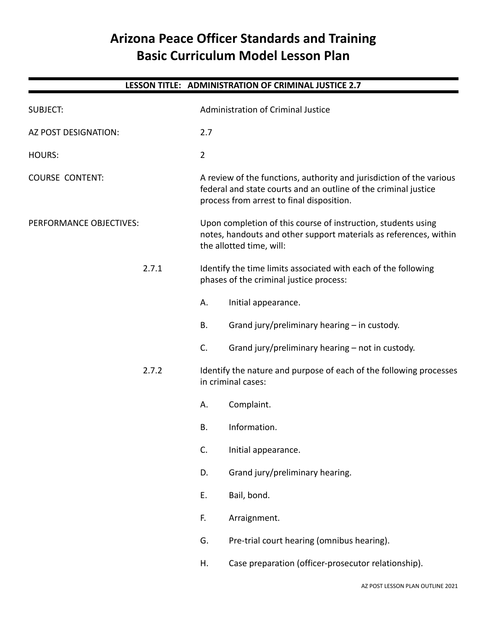# **Arizona Peace Officer Standards and Training Basic Curriculum Model Lesson Plan**

| LESSON TITLE: ADMINISTRATION OF CRIMINAL JUSTICE 2.7 |  |                                                                                                           |                                                                                                                                                                                      |  |  |  |
|------------------------------------------------------|--|-----------------------------------------------------------------------------------------------------------|--------------------------------------------------------------------------------------------------------------------------------------------------------------------------------------|--|--|--|
| <b>SUBJECT:</b>                                      |  |                                                                                                           | <b>Administration of Criminal Justice</b>                                                                                                                                            |  |  |  |
| AZ POST DESIGNATION:                                 |  | 2.7                                                                                                       |                                                                                                                                                                                      |  |  |  |
| <b>HOURS:</b>                                        |  | $\overline{2}$                                                                                            |                                                                                                                                                                                      |  |  |  |
| <b>COURSE CONTENT:</b>                               |  |                                                                                                           | A review of the functions, authority and jurisdiction of the various<br>federal and state courts and an outline of the criminal justice<br>process from arrest to final disposition. |  |  |  |
| PERFORMANCE OBJECTIVES:<br>2.7.1                     |  |                                                                                                           | Upon completion of this course of instruction, students using<br>notes, handouts and other support materials as references, within<br>the allotted time, will:                       |  |  |  |
|                                                      |  | Identify the time limits associated with each of the following<br>phases of the criminal justice process: |                                                                                                                                                                                      |  |  |  |
|                                                      |  | А.                                                                                                        | Initial appearance.                                                                                                                                                                  |  |  |  |
|                                                      |  | В.                                                                                                        | Grand jury/preliminary hearing - in custody.                                                                                                                                         |  |  |  |
|                                                      |  | C.                                                                                                        | Grand jury/preliminary hearing - not in custody.                                                                                                                                     |  |  |  |
| 2.7.2                                                |  |                                                                                                           | Identify the nature and purpose of each of the following processes<br>in criminal cases:                                                                                             |  |  |  |
|                                                      |  | А.                                                                                                        | Complaint.                                                                                                                                                                           |  |  |  |
|                                                      |  | Β.                                                                                                        | Information.                                                                                                                                                                         |  |  |  |
|                                                      |  | C.                                                                                                        | Initial appearance.                                                                                                                                                                  |  |  |  |
|                                                      |  | D.                                                                                                        | Grand jury/preliminary hearing.                                                                                                                                                      |  |  |  |
|                                                      |  | E.                                                                                                        | Bail, bond.                                                                                                                                                                          |  |  |  |
|                                                      |  | F.                                                                                                        | Arraignment.                                                                                                                                                                         |  |  |  |
|                                                      |  | G.                                                                                                        | Pre-trial court hearing (omnibus hearing).                                                                                                                                           |  |  |  |
|                                                      |  | Η.                                                                                                        | Case preparation (officer-prosecutor relationship).                                                                                                                                  |  |  |  |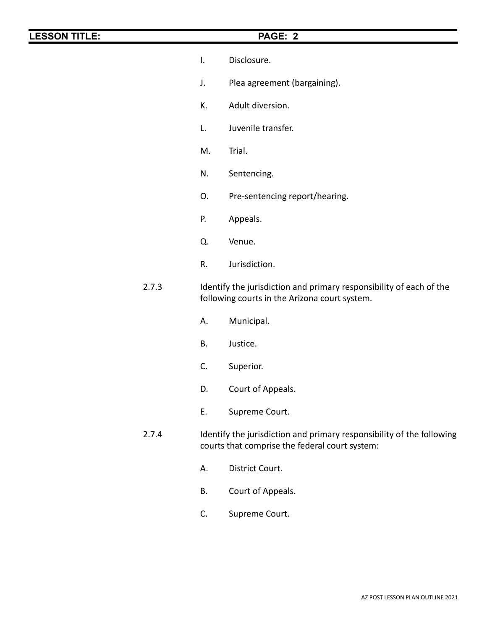- I. Disclosure.
- J. Plea agreement (bargaining).
- K. Adult diversion.
- L. Juvenile transfer.
- M. Trial.
- N. Sentencing.
- O. Pre-sentencing report/hearing.
- P. Appeals.
- Q. Venue.
- R. Jurisdiction.
- 2.7.3 Identify the jurisdiction and primary responsibility of each of the following courts in the Arizona court system.
	- A. Municipal.
	- B. Justice.
	- C. Superior.
	- D. Court of Appeals.
	- E. Supreme Court.
- 2.7.4 Identify the jurisdiction and primary responsibility of the following courts that comprise the federal court system:
	- A. District Court.
	- B. Court of Appeals.
	- C. Supreme Court.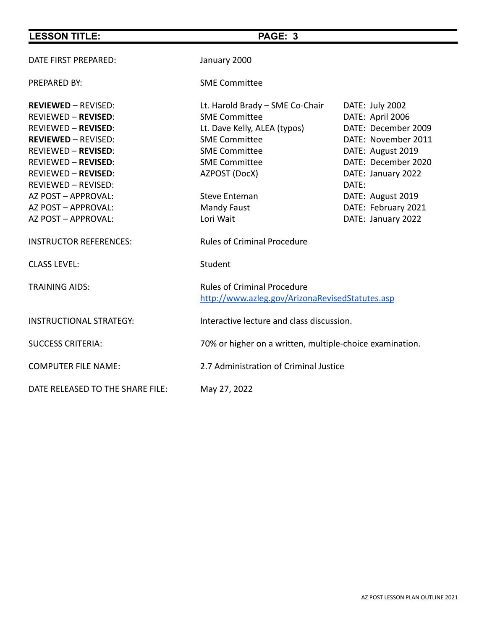| <b>LESSON TITLE:</b>                                                                                                                                                                                                                                                                                              | PAGE: 3                                                                                                                                                                                                                                     |                                                                                                                                                                                                          |
|-------------------------------------------------------------------------------------------------------------------------------------------------------------------------------------------------------------------------------------------------------------------------------------------------------------------|---------------------------------------------------------------------------------------------------------------------------------------------------------------------------------------------------------------------------------------------|----------------------------------------------------------------------------------------------------------------------------------------------------------------------------------------------------------|
| DATE FIRST PREPARED:                                                                                                                                                                                                                                                                                              | January 2000                                                                                                                                                                                                                                |                                                                                                                                                                                                          |
| <b>PREPARED BY:</b>                                                                                                                                                                                                                                                                                               | <b>SME Committee</b>                                                                                                                                                                                                                        |                                                                                                                                                                                                          |
| <b>REVIEWED - REVISED:</b><br><b>REVIEWED - REVISED:</b><br><b>REVIEWED - REVISED:</b><br><b>REVIEWED - REVISED:</b><br><b>REVIEWED - REVISED:</b><br><b>REVIEWED - REVISED:</b><br><b>REVIEWED - REVISED:</b><br><b>REVIEWED - REVISED:</b><br>AZ POST - APPROVAL:<br>AZ POST - APPROVAL:<br>AZ POST - APPROVAL: | Lt. Harold Brady - SME Co-Chair<br><b>SME Committee</b><br>Lt. Dave Kelly, ALEA (typos)<br><b>SME Committee</b><br><b>SME Committee</b><br><b>SME Committee</b><br>AZPOST (DocX)<br><b>Steve Enteman</b><br><b>Mandy Faust</b><br>Lori Wait | DATE: July 2002<br>DATE: April 2006<br>DATE: December 2009<br>DATE: November 2011<br>DATE: August 2019<br>DATE: December 2020<br>DATE: January 2022<br>DATE:<br>DATE: August 2019<br>DATE: February 2021 |
| <b>INSTRUCTOR REFERENCES:</b>                                                                                                                                                                                                                                                                                     | <b>Rules of Criminal Procedure</b>                                                                                                                                                                                                          | DATE: January 2022                                                                                                                                                                                       |
| <b>CLASS LEVEL:</b>                                                                                                                                                                                                                                                                                               | Student                                                                                                                                                                                                                                     |                                                                                                                                                                                                          |
| <b>TRAINING AIDS:</b>                                                                                                                                                                                                                                                                                             | <b>Rules of Criminal Procedure</b><br>http://www.azleg.gov/ArizonaRevisedStatutes.asp                                                                                                                                                       |                                                                                                                                                                                                          |
| <b>INSTRUCTIONAL STRATEGY:</b>                                                                                                                                                                                                                                                                                    | Interactive lecture and class discussion.                                                                                                                                                                                                   |                                                                                                                                                                                                          |
| <b>SUCCESS CRITERIA:</b>                                                                                                                                                                                                                                                                                          | 70% or higher on a written, multiple-choice examination.                                                                                                                                                                                    |                                                                                                                                                                                                          |
| <b>COMPUTER FILE NAME:</b>                                                                                                                                                                                                                                                                                        | 2.7 Administration of Criminal Justice                                                                                                                                                                                                      |                                                                                                                                                                                                          |
| DATE RELEASED TO THE SHARE FILE:                                                                                                                                                                                                                                                                                  | May 27, 2022                                                                                                                                                                                                                                |                                                                                                                                                                                                          |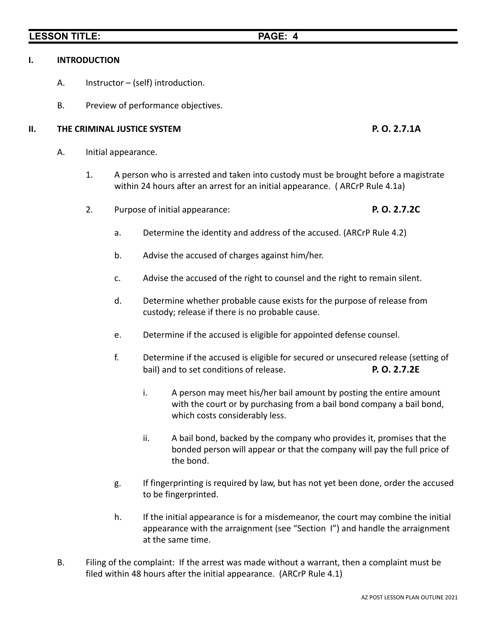# **I. INTRODUCTION**

- A. Instructor (self) introduction.
- B. Preview of performance objectives.

# **II. THE CRIMINAL JUSTICE SYSTEM P. O. 2.7.1A**

- A. Initial appearance.
	- 1. A person who is arrested and taken into custody must be brought before a magistrate within 24 hours after an arrest for an initial appearance. ( ARCrP Rule 4.1a)
	- 2. Purpose of initial appearance: **P. O. 2.7.2C**
		- a. Determine the identity and address of the accused. (ARCrP Rule 4.2)
		- b. Advise the accused of charges against him/her.
		- c. Advise the accused of the right to counsel and the right to remain silent.
		- d. Determine whether probable cause exists for the purpose of release from custody; release if there is no probable cause.
		- e. Determine if the accused is eligible for appointed defense counsel.
		- f. Determine if the accused is eligible for secured or unsecured release (setting of bail) and to set conditions of release. **P. O. 2.7.2E**
			- i. A person may meet his/her bail amount by posting the entire amount with the court or by purchasing from a bail bond company a bail bond, which costs considerably less.
			- ii. A bail bond, backed by the company who provides it, promises that the bonded person will appear or that the company will pay the full price of the bond.
		- g. If fingerprinting is required by law, but has not yet been done, order the accused to be fingerprinted.
		- h. If the initial appearance is for a misdemeanor, the court may combine the initial appearance with the arraignment (see "Section I") and handle the arraignment at the same time.
- B. Filing of the complaint: If the arrest was made without a warrant, then a complaint must be filed within 48 hours after the initial appearance. (ARCrP Rule 4.1)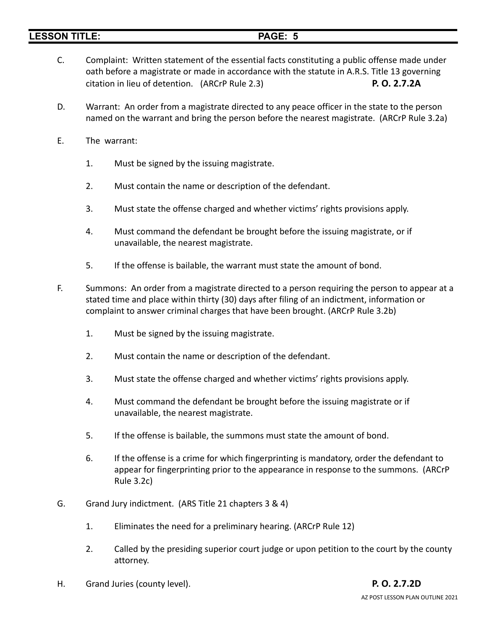- C. Complaint: Written statement of the essential facts constituting a public offense made under oath before a magistrate or made in accordance with the statute in A.R.S. Title 13 governing citation in lieu of detention. (ARCrP Rule 2.3) **P. O. 2.7.2A**
- D. Warrant: An order from a magistrate directed to any peace officer in the state to the person named on the warrant and bring the person before the nearest magistrate. (ARCrP Rule 3.2a)
- E. The warrant:
	- 1. Must be signed by the issuing magistrate.
	- 2. Must contain the name or description of the defendant.
	- 3. Must state the offense charged and whether victims' rights provisions apply.
	- 4. Must command the defendant be brought before the issuing magistrate, or if unavailable, the nearest magistrate.
	- 5. If the offense is bailable, the warrant must state the amount of bond.
- F. Summons: An order from a magistrate directed to a person requiring the person to appear at a stated time and place within thirty (30) days after filing of an indictment, information or complaint to answer criminal charges that have been brought. (ARCrP Rule 3.2b)
	- 1. Must be signed by the issuing magistrate.
	- 2. Must contain the name or description of the defendant.
	- 3. Must state the offense charged and whether victims' rights provisions apply.
	- 4. Must command the defendant be brought before the issuing magistrate or if unavailable, the nearest magistrate.
	- 5. If the offense is bailable, the summons must state the amount of bond.
	- 6. If the offense is a crime for which fingerprinting is mandatory, order the defendant to appear for fingerprinting prior to the appearance in response to the summons. (ARCrP Rule 3.2c)
- G. Grand Jury indictment. (ARS Title 21 chapters 3 & 4)
	- 1. Eliminates the need for a preliminary hearing. (ARCrP Rule 12)
	- 2. Called by the presiding superior court judge or upon petition to the court by the county attorney.
- H. Grand Juries (county level). **P. O. 2.7.2D**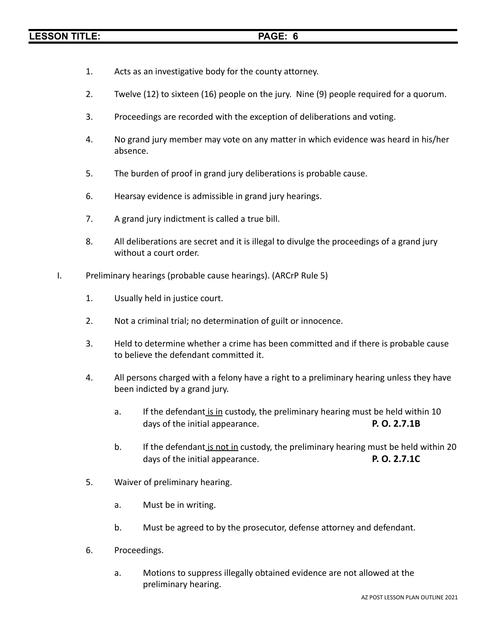- 1. Acts as an investigative body for the county attorney.
- 2. Twelve (12) to sixteen (16) people on the jury. Nine (9) people required for a quorum.
- 3. Proceedings are recorded with the exception of deliberations and voting.
- 4. No grand jury member may vote on any matter in which evidence was heard in his/her absence.
- 5. The burden of proof in grand jury deliberations is probable cause.
- 6. Hearsay evidence is admissible in grand jury hearings.
- 7. A grand jury indictment is called a true bill.
- 8. All deliberations are secret and it is illegal to divulge the proceedings of a grand jury without a court order.
- I. Preliminary hearings (probable cause hearings). (ARCrP Rule 5)
	- 1. Usually held in justice court.
	- 2. Not a criminal trial; no determination of guilt or innocence.
	- 3. Held to determine whether a crime has been committed and if there is probable cause to believe the defendant committed it.
	- 4. All persons charged with a felony have a right to a preliminary hearing unless they have been indicted by a grand jury.
		- a. If the defendant is in custody, the preliminary hearing must be held within 10 days of the initial appearance. **P. O. 2.7.1B**
		- b. If the defendant is not in custody, the preliminary hearing must be held within 20 days of the initial appearance. **P. O. 2.7.1C**
	- 5. Waiver of preliminary hearing.
		- a. Must be in writing.
		- b. Must be agreed to by the prosecutor, defense attorney and defendant.
	- 6. Proceedings.
		- a. Motions to suppress illegally obtained evidence are not allowed at the preliminary hearing.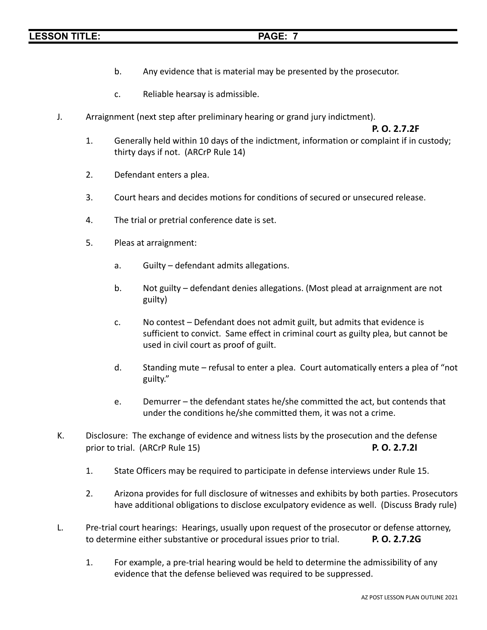- b. Any evidence that is material may be presented by the prosecutor.
- c. Reliable hearsay is admissible.
- J. Arraignment (next step after preliminary hearing or grand jury indictment).

**P. O. 2.7.2F**

- 1. Generally held within 10 days of the indictment, information or complaint if in custody; thirty days if not. (ARCrP Rule 14)
- 2. Defendant enters a plea.
- 3. Court hears and decides motions for conditions of secured or unsecured release.
- 4. The trial or pretrial conference date is set.
- 5. Pleas at arraignment:
	- a. Guilty defendant admits allegations.
	- b. Not guilty defendant denies allegations. (Most plead at arraignment are not guilty)
	- c. No contest Defendant does not admit guilt, but admits that evidence is sufficient to convict. Same effect in criminal court as guilty plea, but cannot be used in civil court as proof of guilt.
	- d. Standing mute refusal to enter a plea. Court automatically enters a plea of "not guilty."
	- e. Demurrer the defendant states he/she committed the act, but contends that under the conditions he/she committed them, it was not a crime.
- K. Disclosure: The exchange of evidence and witness lists by the prosecution and the defense prior to trial. (ARCrP Rule 15) **P. O. 2.7.2I**
	- 1. State Officers may be required to participate in defense interviews under Rule 15.
	- 2. Arizona provides for full disclosure of witnesses and exhibits by both parties. Prosecutors have additional obligations to disclose exculpatory evidence as well. (Discuss Brady rule)
- L. Pre-trial court hearings: Hearings, usually upon request of the prosecutor or defense attorney, to determine either substantive or procedural issues prior to trial. **P. O. 2.7.2G**
	- 1. For example, a pre-trial hearing would be held to determine the admissibility of any evidence that the defense believed was required to be suppressed.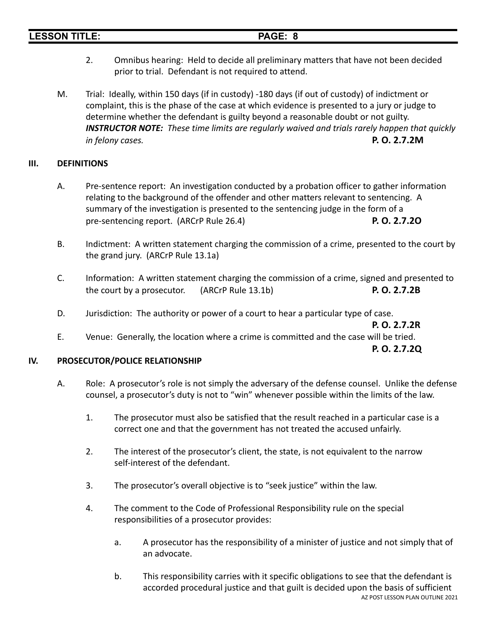| <b>LESSON TITLE:</b> |                                                                                                        | PAGE: 8                                                                                                                                                                                                                                                                                                                 |  |  |
|----------------------|--------------------------------------------------------------------------------------------------------|-------------------------------------------------------------------------------------------------------------------------------------------------------------------------------------------------------------------------------------------------------------------------------------------------------------------------|--|--|
| 2.                   | prior to trial. Defendant is not required to attend.                                                   | Omnibus hearing: Held to decide all preliminary matters that have not been decided                                                                                                                                                                                                                                      |  |  |
| M.                   | determine whether the defendant is guilty beyond a reasonable doubt or not guilty.<br>in felony cases. | Trial: Ideally, within 150 days (if in custody) -180 days (if out of custody) of indictment or<br>complaint, this is the phase of the case at which evidence is presented to a jury or judge to<br><b>INSTRUCTOR NOTE:</b> These time limits are regularly waived and trials rarely happen that quickly<br>P. O. 2.7.2M |  |  |

### **III. DEFINITIONS**

- A. Pre-sentence report: An investigation conducted by a probation officer to gather information relating to the background of the offender and other matters relevant to sentencing. A summary of the investigation is presented to the sentencing judge in the form of a pre-sentencing report. (ARCrP Rule 26.4) **P. O. 2.7.2O**
- B. Indictment: A written statement charging the commission of a crime, presented to the court by the grand jury. (ARCrP Rule 13.1a)
- C. Information: A written statement charging the commission of a crime, signed and presented to the court by a prosecutor. (ARCrP Rule 13.1b) **P. O. 2.7.2B**
- D. Jurisdiction: The authority or power of a court to hear a particular type of case.

**P. O. 2.7.2R**

E. Venue: Generally, the location where a crime is committed and the case will be tried.

**P. O. 2.7.2Q**

# **IV. PROSECUTOR/POLICE RELATIONSHIP**

- A. Role: A prosecutor's role is not simply the adversary of the defense counsel. Unlike the defense counsel, a prosecutor's duty is not to "win" whenever possible within the limits of the law.
	- 1. The prosecutor must also be satisfied that the result reached in a particular case is a correct one and that the government has not treated the accused unfairly.
	- 2. The interest of the prosecutor's client, the state, is not equivalent to the narrow self-interest of the defendant.
	- 3. The prosecutor's overall objective is to "seek justice" within the law.
	- 4. The comment to the Code of Professional Responsibility rule on the special responsibilities of a prosecutor provides:
		- a. A prosecutor has the responsibility of a minister of justice and not simply that of an advocate.
		- b. This responsibility carries with it specific obligations to see that the defendant is accorded procedural justice and that guilt is decided upon the basis of sufficient AZ POST LESSON PLAN OUTLINE 2021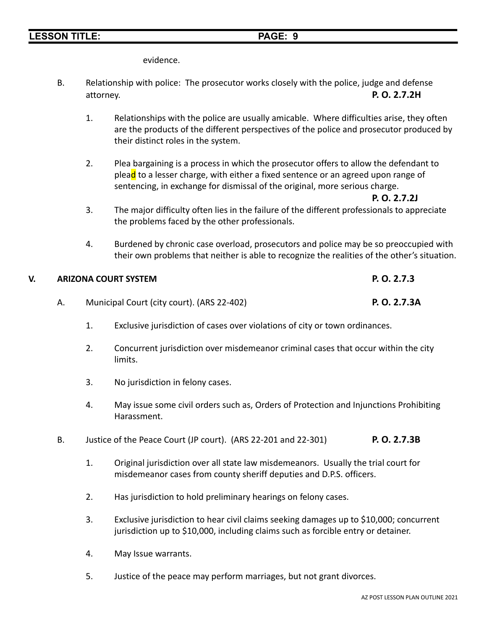evidence.

- B. Relationship with police: The prosecutor works closely with the police, judge and defense attorney. **P. O. 2.7.2H**
	- 1. Relationships with the police are usually amicable. Where difficulties arise, they often are the products of the different perspectives of the police and prosecutor produced by their distinct roles in the system.
	- 2. Plea bargaining is a process in which the prosecutor offers to allow the defendant to plea<mark>d</mark> to a lesser charge, with either a fixed sentence or an agreed upon range of sentencing, in exchange for dismissal of the original, more serious charge.

**P. O. 2.7.2J**

- 3. The major difficulty often lies in the failure of the different professionals to appreciate the problems faced by the other professionals.
- 4. Burdened by chronic case overload, prosecutors and police may be so preoccupied with their own problems that neither is able to recognize the realities of the other's situation.

# **V. ARIZONA COURT SYSTEM P. O. 2.7.3**

- A. Municipal Court (city court). (ARS 22-402) **P. O. 2.7.3A**
	- 1. Exclusive jurisdiction of cases over violations of city or town ordinances.
	- 2. Concurrent jurisdiction over misdemeanor criminal cases that occur within the city limits.
	- 3. No jurisdiction in felony cases.
	- 4. May issue some civil orders such as, Orders of Protection and Injunctions Prohibiting Harassment.
- B. Justice of the Peace Court (JP court). (ARS 22-201 and 22-301) **P. O. 2.7.3B**
	- 1. Original jurisdiction over all state law misdemeanors. Usually the trial court for misdemeanor cases from county sheriff deputies and D.P.S. officers.
	- 2. Has jurisdiction to hold preliminary hearings on felony cases.
	- 3. Exclusive jurisdiction to hear civil claims seeking damages up to \$10,000; concurrent jurisdiction up to \$10,000, including claims such as forcible entry or detainer.
	- 4. May Issue warrants.
	- 5. Justice of the peace may perform marriages, but not grant divorces.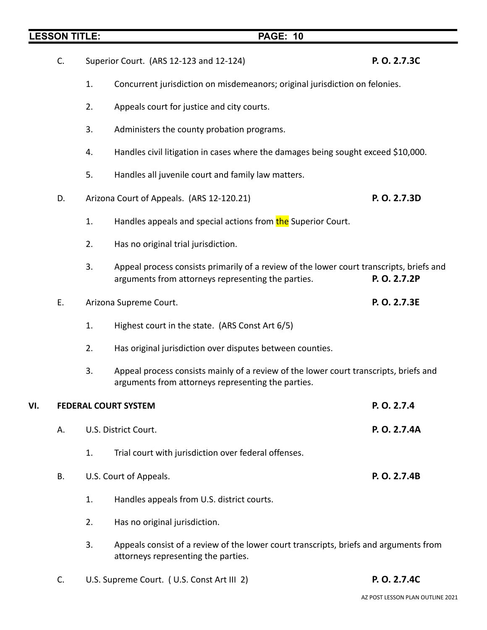- C. Superior Court. (ARS 12-123 and 12-124) **P. O. 2.7.3C**
	- 1. Concurrent jurisdiction on misdemeanors; original jurisdiction on felonies.
	- 2. Appeals court for justice and city courts.
	- 3. Administers the county probation programs.
	- 4. Handles civil litigation in cases where the damages being sought exceed \$10,000.
	- 5. Handles all juvenile court and family law matters.
- D. Arizona Court of Appeals. (ARS 12-120.21) **P. O. 2.7.3D**
	- 1. Handles appeals and special actions from the Superior Court.
	- 2. Has no original trial jurisdiction.
	- 3. Appeal process consists primarily of a review of the lower court transcripts, briefs and arguments from attorneys representing the parties. **P. O. 2.7.2P**
- E. Arizona Supreme Court. **P. O. 2.7.3E**
	- 1. Highest court in the state. (ARS Const Art 6/5)
	- 2. Has original jurisdiction over disputes between counties.
	- 3. Appeal process consists mainly of a review of the lower court transcripts, briefs and arguments from attorneys representing the parties.

| VI. | <b>FEDERAL COURT SYSTEM</b> | P. O. 2.7.4 |                                                                                                                              |              |
|-----|-----------------------------|-------------|------------------------------------------------------------------------------------------------------------------------------|--------------|
|     | А.                          |             | U.S. District Court.                                                                                                         | P. O. 2.7.4A |
|     |                             | 1.          | Trial court with jurisdiction over federal offenses.                                                                         |              |
|     | В.                          |             | U.S. Court of Appeals.                                                                                                       | P. O. 2.7.4B |
|     |                             | 1.          | Handles appeals from U.S. district courts.                                                                                   |              |
|     |                             | 2.          | Has no original jurisdiction.                                                                                                |              |
|     |                             | 3.          | Appeals consist of a review of the lower court transcripts, briefs and arguments from<br>attorneys representing the parties. |              |

C. U.S. Supreme Court. ( U.S. Const Art III 2) **P. O. 2.7.4C**